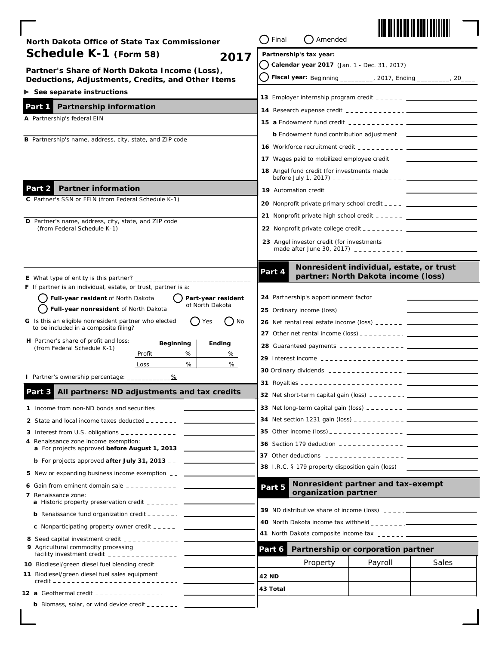| North Dakota Office of State Tax Commissioner                                                                        | Final<br>Amended                                                                                                                                                                                                                                                                                  |
|----------------------------------------------------------------------------------------------------------------------|---------------------------------------------------------------------------------------------------------------------------------------------------------------------------------------------------------------------------------------------------------------------------------------------------|
| Schedule K-1 (Form 58)<br>2017                                                                                       | Partnership's tax year:                                                                                                                                                                                                                                                                           |
| Partner's Share of North Dakota Income (Loss),                                                                       | Calendar year 2017 (Jan. 1 - Dec. 31, 2017)                                                                                                                                                                                                                                                       |
| Deductions, Adjustments, Credits, and Other Items                                                                    | Fiscal year: Beginning _________, 2017, Ending ________, 20____                                                                                                                                                                                                                                   |
| See separate instructions                                                                                            |                                                                                                                                                                                                                                                                                                   |
| Partnership information<br>Part 1                                                                                    |                                                                                                                                                                                                                                                                                                   |
| A Partnership's federal EIN                                                                                          |                                                                                                                                                                                                                                                                                                   |
|                                                                                                                      | <b>b</b> Endowment fund contribution adjustment <b>example 20</b>                                                                                                                                                                                                                                 |
| B Partnership's name, address, city, state, and ZIP code                                                             |                                                                                                                                                                                                                                                                                                   |
|                                                                                                                      | 17 Wages paid to mobilized employee credit<br><b>Contract Contract Contract</b>                                                                                                                                                                                                                   |
|                                                                                                                      | 18 Angel fund credit (for investments made<br>before July 1, 2017) -------------------                                                                                                                                                                                                            |
| <b>Partner information</b><br>Part 2                                                                                 |                                                                                                                                                                                                                                                                                                   |
| C Partner's SSN or FEIN (from Federal Schedule K-1)                                                                  |                                                                                                                                                                                                                                                                                                   |
|                                                                                                                      |                                                                                                                                                                                                                                                                                                   |
| D Partner's name, address, city, state, and ZIP code<br>(from Federal Schedule K-1)                                  |                                                                                                                                                                                                                                                                                                   |
|                                                                                                                      | 23 Angel investor credit (for investments                                                                                                                                                                                                                                                         |
|                                                                                                                      | made after June 30, 2017) $\frac{1}{2}$ = $\frac{1}{2}$ = $\frac{1}{2}$ = $\frac{1}{2}$ = $\frac{1}{2}$ = $\frac{1}{2}$ = $\frac{1}{2}$ = $\frac{1}{2}$ = $\frac{1}{2}$ = $\frac{1}{2}$ = $\frac{1}{2}$ = $\frac{1}{2}$ = $\frac{1}{2}$ = $\frac{1}{2}$ = $\frac{1}{2}$ = $\frac{1}{2}$ = $\frac$ |
|                                                                                                                      | Nonresident individual, estate, or trust                                                                                                                                                                                                                                                          |
| E What type of entity is this partner? _______________                                                               | Part 4<br>partner: North Dakota income (loss)                                                                                                                                                                                                                                                     |
| <b>F</b> If partner is an individual, estate, or trust, partner is a:                                                |                                                                                                                                                                                                                                                                                                   |
| Full-year resident of North Dakota<br>Part-year resident<br>of North Dakota<br>Full-year nonresident of North Dakota |                                                                                                                                                                                                                                                                                                   |
| G Is this an eligible nonresident partner who elected<br>No<br>Yes                                                   | <b>26</b> Net rental real estate income (loss) $\frac{1}{2}$ $\frac{1}{2}$ $\frac{1}{2}$ $\frac{1}{2}$ $\frac{1}{2}$ $\frac{1}{2}$                                                                                                                                                                |
| to be included in a composite filing?                                                                                | 27 Other net rental income $(\text{loss})$ _ _ _ _ _ _ _ _ _ _ .                                                                                                                                                                                                                                  |
| H Partner's share of profit and loss:<br><b>Beginning</b><br>Ending<br>(from Federal Schedule K-1)                   |                                                                                                                                                                                                                                                                                                   |
| %<br>Profit<br>%                                                                                                     |                                                                                                                                                                                                                                                                                                   |
| %<br>%<br>Loss                                                                                                       |                                                                                                                                                                                                                                                                                                   |
| <b>I</b> Partner's ownership percentage: _________<br>%                                                              | <b>31</b> Royalties $- - - - - -$                                                                                                                                                                                                                                                                 |
| All partners: ND adjustments and tax credits<br>Part 3                                                               | <b>32</b> Net short-term capital gain (loss) $- - - - - - - - -$                                                                                                                                                                                                                                  |
| 1 Income from non-ND bonds and securities ____ __                                                                    | <b>33</b> Net long-term capital gain (loss) -------- $\frac{1}{2}$                                                                                                                                                                                                                                |
|                                                                                                                      |                                                                                                                                                                                                                                                                                                   |
|                                                                                                                      |                                                                                                                                                                                                                                                                                                   |
| 4 Renaissance zone income exemption:<br>a For projects approved before August 1, 2013                                |                                                                                                                                                                                                                                                                                                   |
| <b>b</b> For projects approved <b>after July 31, 2013</b> $\qquad \qquad \qquad$                                     |                                                                                                                                                                                                                                                                                                   |
| 5 New or expanding business income exemption __ ___                                                                  | 38 I.R.C. § 179 property disposition gain (loss)                                                                                                                                                                                                                                                  |
| 6 Gain from eminent domain sale $\frac{1}{2}$                                                                        | Nonresident partner and tax-exempt<br>Part 5                                                                                                                                                                                                                                                      |
| 7 Renaissance zone:<br><b>a</b> Historic property preservation credit _______ _____                                  | organization partner                                                                                                                                                                                                                                                                              |
| <b>b</b> Renaissance fund organization credit $---$                                                                  |                                                                                                                                                                                                                                                                                                   |
| <b>c</b> Nonparticipating property owner credit $\frac{1}{2}$ $\frac{1}{2}$ $\frac{1}{2}$ $\frac{1}{2}$              |                                                                                                                                                                                                                                                                                                   |
|                                                                                                                      |                                                                                                                                                                                                                                                                                                   |
| 9 Agricultural commodity processing                                                                                  | Partnership or corporation partner<br>Part 6                                                                                                                                                                                                                                                      |
| 10 Biodiesel/green diesel fuel blending credit _____ ____                                                            | Property<br>Payroll<br>Sales                                                                                                                                                                                                                                                                      |
| 11 Biodiesel/green diesel fuel sales equipment                                                                       | <b>42 ND</b>                                                                                                                                                                                                                                                                                      |
| 12 a Geothermal credit $------------$                                                                                | 43 Total                                                                                                                                                                                                                                                                                          |
| <b>b</b> Biomass, solar, or wind device credit $\frac{1}{2}$                                                         |                                                                                                                                                                                                                                                                                                   |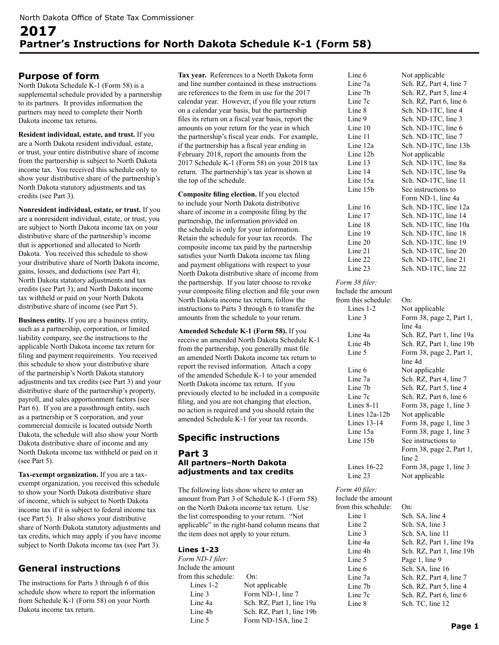## **Purpose of form**

North Dakota Schedule K-1 (Form 58) is a supplemental schedule provided by a partnership to its partners. It provides information the partners may need to complete their North Dakota income tax returns.

**Resident individual, estate, and trust.** If you are a North Dakota resident individual, estate, or trust, your entire distributive share of income from the partnership is subject to North Dakota income tax. You received this schedule only to show your distributive share of the partnership's North Dakota statutory adjustments and tax credits (see Part 3).

**Nonresident individual, estate, or trust.** If you are a nonresident individual, estate, or trust, you are subject to North Dakota income tax on your distributive share of the partnership's income that is apportioned and allocated to North Dakota. You received this schedule to show your distributive share of North Dakota income, gains, losses, and deductions (see Part 4); North Dakota statutory adjustments and tax credits (see Part 3); and North Dakota income tax withheld or paid on your North Dakota distributive share of income (see Part 5).

**Business entity.** If you are a business entity, such as a partnership, corporation, or limited liability company, see the instructions to the applicable North Dakota income tax return for filing and payment requirements. You received this schedule to show your distributive share of the partnership's North Dakota statutory adjustments and tax credits (see Part 3) and your distributive share of the partnership's property, payroll, and sales apportionment factors (see Part 6). If you are a passthrough entity, such as a partnership or S corporation, and your commercial domicile is located outside North Dakota, the schedule will also show your North Dakota distributive share of income and any North Dakota income tax withheld or paid on it (see Part 5).

**Tax-exempt organization.** If you are a taxexempt organization, you received this schedule to show your North Dakota distributive share of income, which is subject to North Dakota income tax if it is subject to federal income tax (see Part 5). It also shows your distributive share of North Dakota statutory adjustments and tax credits, which may apply if you have income subject to North Dakota income tax (see Part 3).

# **General instructions**

The instructions for Parts 3 through 6 of this schedule show where to report the information from Schedule K-1 (Form 58) on your North Dakota income tax return.

**Tax year.** References to a North Dakota form and line number contained in these instructions are references to the form in use for the 2017 calendar year. However, if you file your return on a calendar year basis, but the partnership files its return on a fiscal year basis, report the amounts on your return for the year in which the partnership's fiscal year ends. For example, if the partnership has a fiscal year ending in February 2018, report the amounts from the 2017 Schedule K-1 (Form 58) on your 2018 tax return. The partnership's tax year is shown at the top of the schedule.

**Composite filing election.** If you elected to include your North Dakota distributive share of income in a composite filing by the partnership, the information provided on the schedule is only for your information. Retain the schedule for your tax records. The composite income tax paid by the partnership satisfies your North Dakota income tax filing and payment obligations with respect to your North Dakota distributive share of income from the partnership. If you later choose to revoke your composite filing election and file your own North Dakota income tax return, follow the instructions to Parts 3 through 6 to transfer the amounts from the schedule to your return.

**Amended Schedule K-1 (Form 58).** If you receive an amended North Dakota Schedule K-1 from the partnership, you generally must file an amended North Dakota income tax return to report the revised information. Attach a copy of the amended Schedule K-1 to your amended North Dakota income tax return. If you previously elected to be included in a composite filing, and you are not changing that election, no action is required and you should retain the amended Schedule K-1 for your tax records.

## **Specific instructions**

### **Part 3 All partners–North Dakota adjustments and tax credits**

The following lists show where to enter an amount from Part 3 of Schedule K-1 (Form 58) on the North Dakota income tax return. Use the list corresponding to your return. "Not applicable" in the right-hand column means that the item does not apply to your return.

### **Lines 1-23**

*Form ND-1 filer:* Include the amount from this schedule: On: Lines 1-2 Not applicable Line 3 Form ND-1, line 7

Line 4a Sch. RZ, Part 1, line 19a Line 4b Sch. RZ, Part 1, line 19b Line 5 Form ND-1SA, line 2

| Line 6                 | Not applicable                            |
|------------------------|-------------------------------------------|
| Line 7a                | Sch. RZ, Part 4, line 7                   |
| Line 7b                | Sch. RZ, Part 5, line 4                   |
| Line 7c                | Sch. RZ, Part 6, line 6                   |
| Line 8                 | Sch. ND-1TC, line 4                       |
| Line 9                 | Sch. ND-1TC, line 3                       |
| Line 10                | Sch. ND-1TC, line 6                       |
| Line 11                | Sch. ND-1TC, line 7                       |
| Line 12a               | Sch. ND-1TC, line 13b                     |
| Line 12b               | Not applicable                            |
| Line 13                | Sch. ND-1TC, line 8a                      |
| Line 14                | Sch. ND-1TC, line 9a                      |
| Line 15a               | Sch. ND-1TC, line 11                      |
| Line 15b               | See instructions to                       |
|                        | Form ND-1, line 4a                        |
| Line 16                | Sch. ND-1TC, line 12a                     |
| Line 17                | Sch. ND-1TC, line 14                      |
| Line 18                | Sch. ND-1TC, line 10a                     |
| Line 19                | Sch. ND-1TC, line 18                      |
| Line 20                | Sch. ND-1TC, line 19                      |
| Line 21                | Sch. ND-1TC, line 20                      |
| Line 22                | Sch. ND-1TC, line 21                      |
| Line 23                | Sch. ND-1TC, line 22                      |
| Form 38 filer:         |                                           |
| Include the amount     |                                           |
| from this schedule:    | On:                                       |
| Lines $1-2$            | Not applicable                            |
| Line 3                 | Form 38, page 2, Part 1,                  |
|                        | line 4a                                   |
| Line 4a                | Sch. RZ, Part 1, line 19a                 |
| Line 4b                | Sch. RZ, Part 1, line 19b                 |
| Line 5                 | Form 38, page 2, Part 1,                  |
|                        | line 4d                                   |
| Line 6                 | Not applicable                            |
| Line 7a                | Sch. RZ, Part 4, line 7                   |
| Line 7b                | Sch. RZ, Part 5, line 4                   |
| Line 7c                | Sch. RZ, Part 6, line 6                   |
| Lines $8-11$           | Form 38, page 1, line 3                   |
| Lines 12a-12b          | Not applicable                            |
| <b>Lines 13-14</b>     | Form 38, page 1, line 3                   |
| Line 15a               | Form 38, page 1, line 3                   |
| Line 15b               | See instructions to                       |
|                        | Form 38, page 2, Part 1,<br>line 2        |
| Lines 16-22            |                                           |
| Line 23                | Form 38, page 1, line 3<br>Not applicable |
|                        |                                           |
| $F_{QVM}$ 10 $fl_{QV}$ |                                           |

*Form 40 filer:* Include the amount from this schedule: On: Line 1 Sch. SA, line 4 Line 2 Sch. SA, line 3 Line 3 Sch. SA, line 11 Line 5 Page 1, line 9 Line 6 Sch. SA, line 16 Line 8 Sch. TC, line 12

Line 4a Sch. RZ, Part 1, line 19a Line 4b Sch. RZ, Part 1, line 19b Line 7a Sch. RZ, Part 4, line 7 Line 7b Sch. RZ, Part 5, line 4 Line 7c Sch. RZ, Part 6, line 6